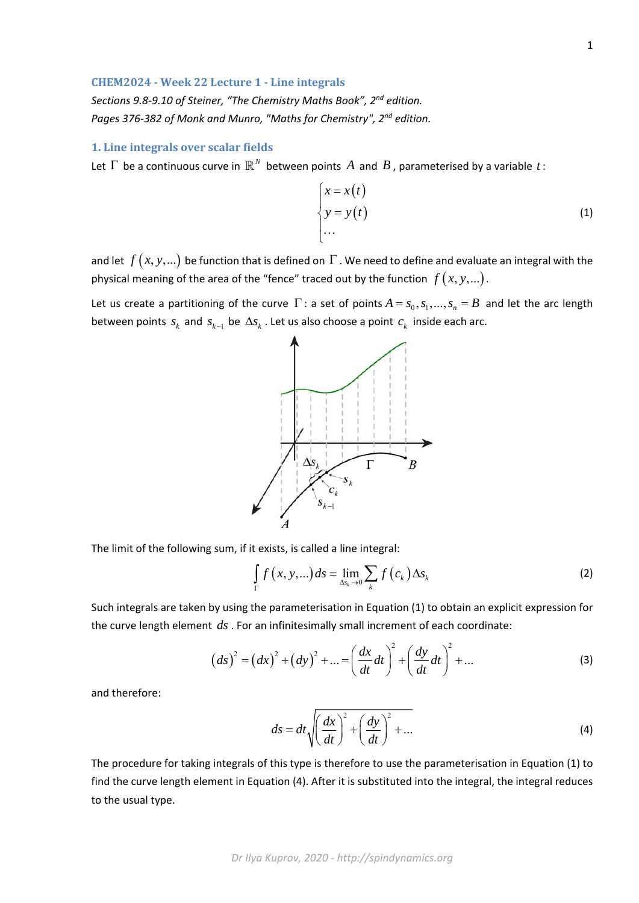## **CHEM2024 ‐ Week 22 Lecture 1 ‐ Line integrals**

*Sections 9.8‐9.10 of Steiner, "The Chemistry Maths Book", 2nd edition. Pages 376‐382 of Monk and Munro, "Maths for Chemistry", 2nd edition.* 

## **1. Line integrals over scalar fields**

Let  $\Gamma$  be a continuous curve in  $\mathbb{R}^N$  between points  $A$  and  $B$ , parameterised by a variable  $t$ :

$$
\begin{cases}\nx = x(t) \\
y = y(t) \\
\dots\n\end{cases}
$$
\n(1)

and let  $f(x, y, ...)$  be function that is defined on  $\Gamma$ . We need to define and evaluate an integral with the physical meaning of the area of the "fence" traced out by the function  $f(x, y, ...)$ .

Let us create a partitioning of the curve  $\Gamma$ : a set of points  $A = s_0, s_1, ..., s_n = B$  and let the arc length between points  $s_k$  and  $s_{k-1}$  be  $\Delta s_k$ . Let us also choose a point  $c_k$  inside each arc.



The limit of the following sum, if it exists, is called a line integral:

$$
\int_{\Gamma} f(x, y, \ldots) ds = \lim_{\Delta s_k \to 0} \sum_{k} f(c_k) \Delta s_k
$$
\n(2)

Such integrals are taken by using the parameterisation in Equation (1) to obtain an explicit expression for the curve length element *ds* . For an infinitesimally small increment of each coordinate:

$$
(ds)^{2} = (dx)^{2} + (dy)^{2} + ... = \left(\frac{dx}{dt}dt\right)^{2} + \left(\frac{dy}{dt}dt\right)^{2} + ...
$$
 (3)

and therefore:

$$
ds = dt \sqrt{\left(\frac{dx}{dt}\right)^2 + \left(\frac{dy}{dt}\right)^2 + \dots}
$$
 (4)

The procedure for taking integrals of this type is therefore to use the parameterisation in Equation (1) to find the curve length element in Equation (4). After it is substituted into the integral, the integral reduces to the usual type.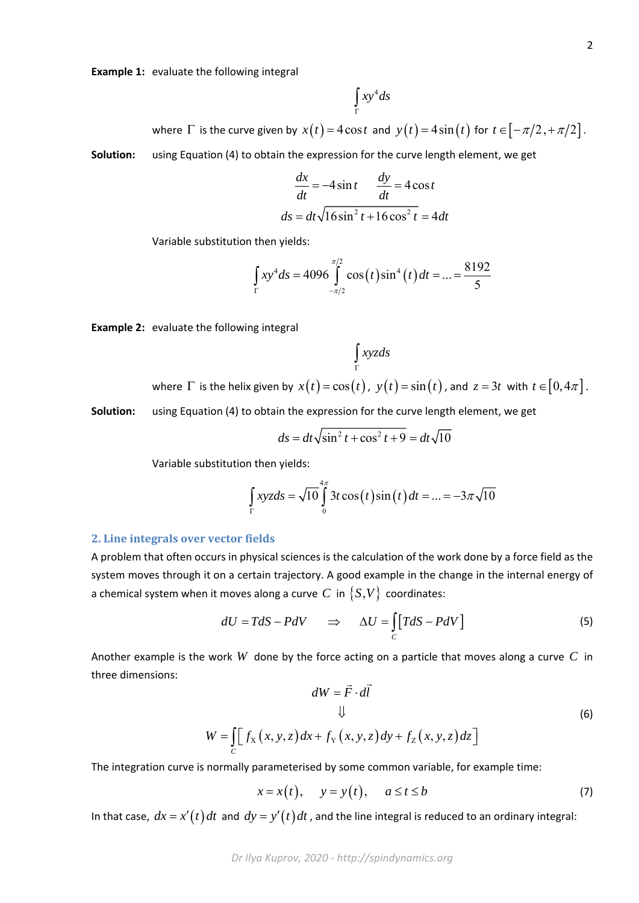**Example 1:** evaluate the following integral

$$
\int_{\Gamma} xy^4 ds
$$

where  $\Gamma$  is the curve given by  $x(t) = 4\cos t$  and  $y(t) = 4\sin(t)$  for  $t \in [-\pi/2, +\pi/2]$ .

**Solution:** using Equation (4) to obtain the expression for the curve length element, we get

$$
\frac{dx}{dt} = -4\sin t \qquad \frac{dy}{dt} = 4\cos t
$$

$$
ds = dt\sqrt{16\sin^2 t + 16\cos^2 t} = 4dt
$$

Variable substitution then yields:

$$
\int_{\Gamma} xy^4 ds = 4096 \int_{-\pi/2}^{\pi/2} \cos(t) \sin^4(t) dt = ... = \frac{8192}{5}
$$

**Example 2:** evaluate the following integral

$$
\int_{\Gamma} xyz ds
$$

where  $\Gamma$  is the helix given by  $x(t) = \cos(t)$ ,  $y(t) = \sin(t)$ , and  $z = 3t$  with  $t \in [0, 4\pi]$ .

**Solution:** using Equation (4) to obtain the expression for the curve length element, we get

$$
ds = dt\sqrt{\sin^2 t + \cos^2 t + 9} = dt\sqrt{10}
$$

Variable substitution then yields:

$$
\int_{\Gamma} xyz ds = \sqrt{10} \int_{0}^{4\pi} 3t \cos(t) \sin(t) dt = ... = -3\pi \sqrt{10}
$$

## **2. Line integrals over vector fields**

A problem that often occurs in physical sciences is the calculation of the work done by a force field as the system moves through it on a certain trajectory. A good example in the change in the internal energy of a chemical system when it moves along a curve *C* in  $\{S, V\}$  coordinates:

$$
dU = TdS - PdV \qquad \Rightarrow \qquad \Delta U = \int_{C} [TdS - PdV] \tag{5}
$$

Another example is the work *W* done by the force acting on a particle that moves along a curve *C* in three dimensions:  $\rightarrow$   $\rightarrow$ 

$$
dW = \vec{F} \cdot d\vec{l}
$$
  
\n
$$
\downarrow \qquad \qquad \downarrow
$$
  
\n
$$
W = \int_{C} \left[ f_{X}(x, y, z) dx + f_{Y}(x, y, z) dy + f_{Z}(x, y, z) dz \right]
$$
\n(6)

The integration curve is normally parameterised by some common variable, for example time:

$$
x = x(t), \quad y = y(t), \quad a \le t \le b \tag{7}
$$

In that case,  $dx = x'(t)dt$  and  $dy = y'(t)dt$ , and the line integral is reduced to an ordinary integral: